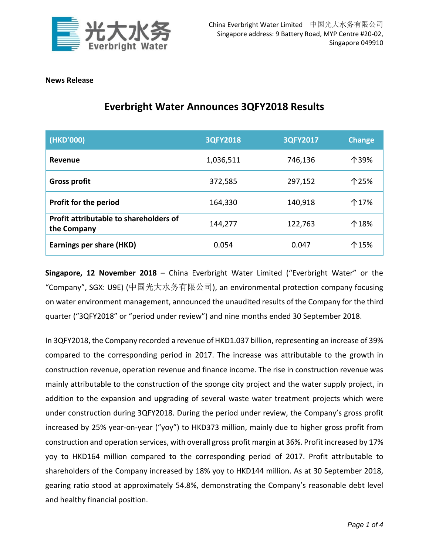

## **News Release**

| (HKD'000)                                             | 3QFY2018  | 3QFY2017 | <b>Change</b> |
|-------------------------------------------------------|-----------|----------|---------------|
| Revenue                                               | 1,036,511 | 746,136  | 个39%          |
| <b>Gross profit</b>                                   | 372,585   | 297,152  | 个25%          |
| <b>Profit for the period</b>                          | 164,330   | 140,918  | 个17%          |
| Profit attributable to shareholders of<br>the Company | 144,277   | 122,763  | 个18%          |
| <b>Earnings per share (HKD)</b>                       | 0.054     | 0.047    | 个15%          |

## **Everbright Water Announces 3QFY2018 Results**

**Singapore, 12 November 2018** – China Everbright Water Limited ("Everbright Water" or the "Company", SGX: U9E) (中国光大水务有限公司), an environmental protection company focusing on water environment management, announced the unaudited results of the Company for the third quarter ("3QFY2018" or "period under review") and nine months ended 30 September 2018.

In 3QFY2018, the Company recorded a revenue of HKD1.037 billion, representing an increase of 39% compared to the corresponding period in 2017. The increase was attributable to the growth in construction revenue, operation revenue and finance income. The rise in construction revenue was mainly attributable to the construction of the sponge city project and the water supply project, in addition to the expansion and upgrading of several waste water treatment projects which were under construction during 3QFY2018. During the period under review, the Company's gross profit increased by 25% year-on-year ("yoy") to HKD373 million, mainly due to higher gross profit from construction and operation services, with overall gross profit margin at 36%. Profit increased by 17% yoy to HKD164 million compared to the corresponding period of 2017. Profit attributable to shareholders of the Company increased by 18% yoy to HKD144 million. As at 30 September 2018, gearing ratio stood at approximately 54.8%, demonstrating the Company's reasonable debt level and healthy financial position.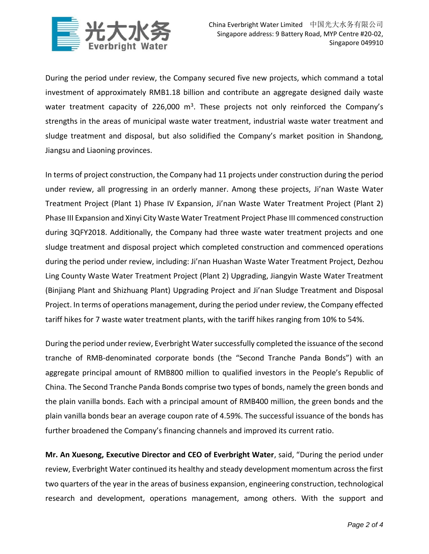

During the period under review, the Company secured five new projects, which command a total investment of approximately RMB1.18 billion and contribute an aggregate designed daily waste water treatment capacity of 226,000  $m^3$ . These projects not only reinforced the Company's strengths in the areas of municipal waste water treatment, industrial waste water treatment and sludge treatment and disposal, but also solidified the Company's market position in Shandong, Jiangsu and Liaoning provinces.

In terms of project construction, the Company had 11 projects under construction during the period under review, all progressing in an orderly manner. Among these projects, Ji'nan Waste Water Treatment Project (Plant 1) Phase IV Expansion, Ji'nan Waste Water Treatment Project (Plant 2) Phase III Expansion and Xinyi City Waste Water Treatment Project Phase III commenced construction during 3QFY2018. Additionally, the Company had three waste water treatment projects and one sludge treatment and disposal project which completed construction and commenced operations during the period under review, including: Ji'nan Huashan Waste Water Treatment Project, Dezhou Ling County Waste Water Treatment Project (Plant 2) Upgrading, Jiangyin Waste Water Treatment (Binjiang Plant and Shizhuang Plant) Upgrading Project and Ji'nan Sludge Treatment and Disposal Project. In terms of operations management, during the period under review, the Company effected tariff hikes for 7 waste water treatment plants, with the tariff hikes ranging from 10% to 54%.

During the period under review, Everbright Water successfully completed the issuance of the second tranche of RMB-denominated corporate bonds (the "Second Tranche Panda Bonds") with an aggregate principal amount of RMB800 million to qualified investors in the People's Republic of China. The Second Tranche Panda Bonds comprise two types of bonds, namely the green bonds and the plain vanilla bonds. Each with a principal amount of RMB400 million, the green bonds and the plain vanilla bonds bear an average coupon rate of 4.59%. The successful issuance of the bonds has further broadened the Company's financing channels and improved its current ratio.

**Mr. An Xuesong, Executive Director and CEO of Everbright Water**, said, "During the period under review, Everbright Water continued its healthy and steady development momentum across the first two quarters of the year in the areas of business expansion, engineering construction, technological research and development, operations management, among others. With the support and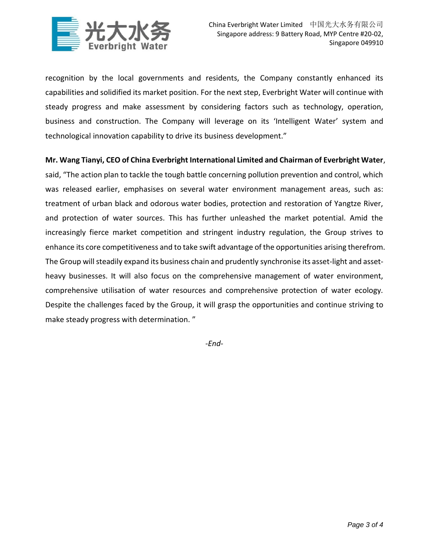

recognition by the local governments and residents, the Company constantly enhanced its capabilities and solidified its market position. For the next step, Everbright Water will continue with steady progress and make assessment by considering factors such as technology, operation, business and construction. The Company will leverage on its 'Intelligent Water' system and technological innovation capability to drive its business development."

## **Mr. Wang Tianyi, CEO of China Everbright International Limited and Chairman of Everbright Water**,

said, "The action plan to tackle the tough battle concerning pollution prevention and control, which was released earlier, emphasises on several water environment management areas, such as: treatment of urban black and odorous water bodies, protection and restoration of Yangtze River, and protection of water sources. This has further unleashed the market potential. Amid the increasingly fierce market competition and stringent industry regulation, the Group strives to enhance its core competitiveness and to take swift advantage of the opportunities arising therefrom. The Group will steadily expand its business chain and prudently synchronise its asset-light and assetheavy businesses. It will also focus on the comprehensive management of water environment, comprehensive utilisation of water resources and comprehensive protection of water ecology. Despite the challenges faced by the Group, it will grasp the opportunities and continue striving to make steady progress with determination. "

*-End-*